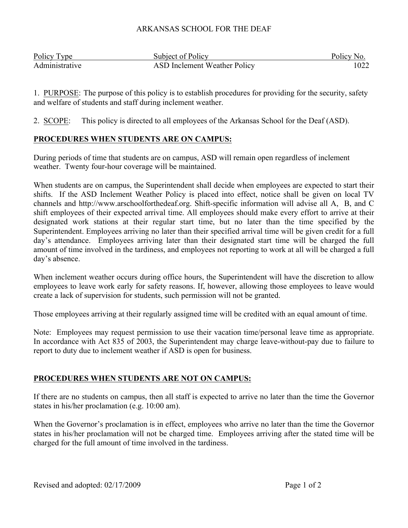#### ARKANSAS SCHOOL FOR THE DEAF

| Policy Type    | Subject of Policy                   | Policy No. |
|----------------|-------------------------------------|------------|
| Administrative | <b>ASD Inclement Weather Policy</b> | 1022       |

1. PURPOSE: The purpose of this policy is to establish procedures for providing for the security, safety and welfare of students and staff during inclement weather.

2. SCOPE: This policy is directed to all employees of the Arkansas School for the Deaf (ASD).

# **PROCEDURES WHEN STUDENTS ARE ON CAMPUS:**

During periods of time that students are on campus, ASD will remain open regardless of inclement weather. Twenty four-hour coverage will be maintained.

When students are on campus, the Superintendent shall decide when employees are expected to start their shifts. If the ASD Inclement Weather Policy is placed into effect, notice shall be given on local TV channels and http://www.arschoolforthedeaf.org. Shift-specific information will advise all A, B, and C shift employees of their expected arrival time. All employees should make every effort to arrive at their designated work stations at their regular start time, but no later than the time specified by the Superintendent. Employees arriving no later than their specified arrival time will be given credit for a full day's attendance. Employees arriving later than their designated start time will be charged the full amount of time involved in the tardiness, and employees not reporting to work at all will be charged a full day's absence.

When inclement weather occurs during office hours, the Superintendent will have the discretion to allow employees to leave work early for safety reasons. If, however, allowing those employees to leave would create a lack of supervision for students, such permission will not be granted.

Those employees arriving at their regularly assigned time will be credited with an equal amount of time.

Note: Employees may request permission to use their vacation time/personal leave time as appropriate. In accordance with Act 835 of 2003, the Superintendent may charge leave-without-pay due to failure to report to duty due to inclement weather if ASD is open for business.

## **PROCEDURES WHEN STUDENTS ARE NOT ON CAMPUS:**

If there are no students on campus, then all staff is expected to arrive no later than the time the Governor states in his/her proclamation (e.g. 10:00 am).

When the Governor's proclamation is in effect, employees who arrive no later than the time the Governor states in his/her proclamation will not be charged time. Employees arriving after the stated time will be charged for the full amount of time involved in the tardiness.